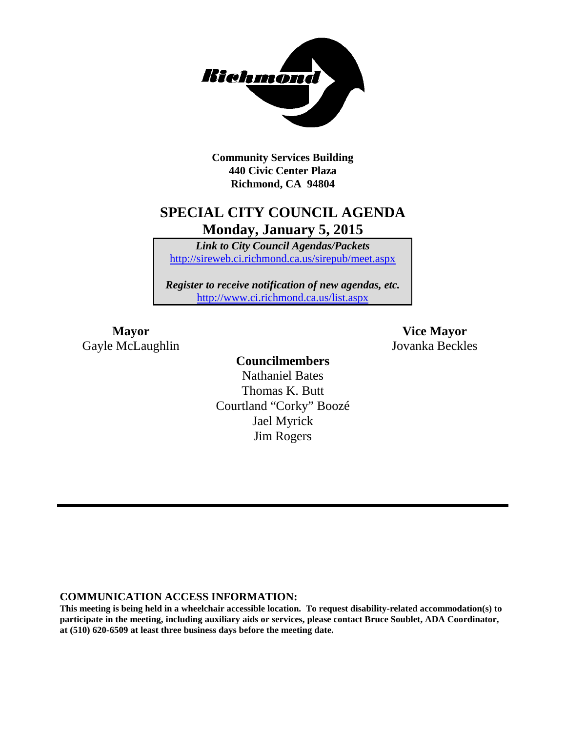

**Community Services Building 440 Civic Center Plaza Richmond, CA 94804**

## **SPECIAL CITY COUNCIL AGENDA Monday, January 5, 2015**

*Link to City Council Agendas/Packets* <http://sireweb.ci.richmond.ca.us/sirepub/meet.aspx>

*Register to receive notification of new agendas, etc.* <http://www.ci.richmond.ca.us/list.aspx>

Gayle McLaughlin Jovanka Beckles

**Mayor Vice Mayor**

### **Councilmembers** Nathaniel Bates Thomas K. Butt Courtland "Corky" Boozé Jael Myrick Jim Rogers

#### **COMMUNICATION ACCESS INFORMATION:**

**This meeting is being held in a wheelchair accessible location. To request disability-related accommodation(s) to participate in the meeting, including auxiliary aids or services, please contact Bruce Soublet, ADA Coordinator, at (510) 620-6509 at least three business days before the meeting date.**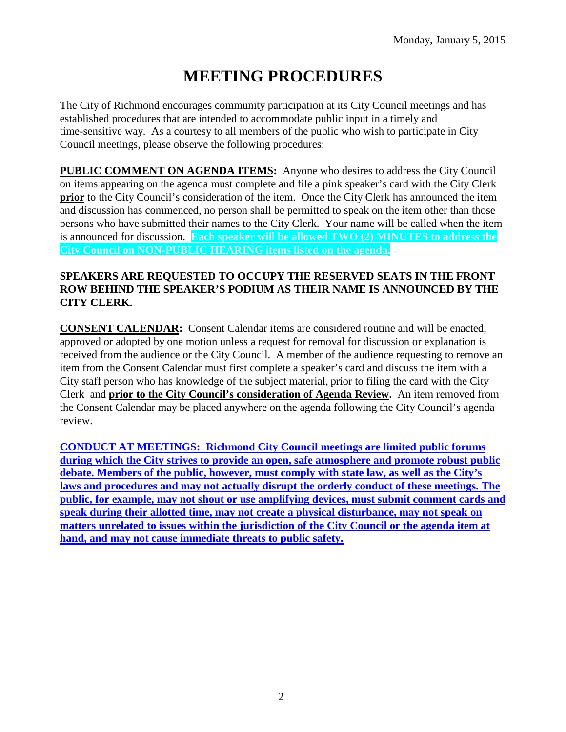# **MEETING PROCEDURES**

The City of Richmond encourages community participation at its City Council meetings and has established procedures that are intended to accommodate public input in a timely and time-sensitive way. As a courtesy to all members of the public who wish to participate in City Council meetings, please observe the following procedures:

**PUBLIC COMMENT ON AGENDA ITEMS:** Anyone who desires to address the City Council on items appearing on the agenda must complete and file a pink speaker's card with the City Clerk **prior** to the City Council's consideration of the item. Once the City Clerk has announced the item and discussion has commenced, no person shall be permitted to speak on the item other than those persons who have submitted their names to the City Clerk. Your name will be called when the item is announced for discussion. **Each speaker will be allowed TWO (2) MINUTES to address the City Council on NON-PUBLIC HEARING items listed on the agenda.**

#### **SPEAKERS ARE REQUESTED TO OCCUPY THE RESERVED SEATS IN THE FRONT ROW BEHIND THE SPEAKER'S PODIUM AS THEIR NAME IS ANNOUNCED BY THE CITY CLERK.**

**CONSENT CALENDAR:** Consent Calendar items are considered routine and will be enacted, approved or adopted by one motion unless a request for removal for discussion or explanation is received from the audience or the City Council. A member of the audience requesting to remove an item from the Consent Calendar must first complete a speaker's card and discuss the item with a City staff person who has knowledge of the subject material, prior to filing the card with the City Clerk and **prior to the City Council's consideration of Agenda Review.** An item removed from the Consent Calendar may be placed anywhere on the agenda following the City Council's agenda review.

**CONDUCT AT MEETINGS: Richmond City Council meetings are limited public forums during which the City strives to provide an open, safe atmosphere and promote robust public debate. Members of the public, however, must comply with state law, as well as the City's laws and procedures and may not actually disrupt the orderly conduct of these meetings. The public, for example, may not shout or use amplifying devices, must submit comment cards and speak during their allotted time, may not create a physical disturbance, may not speak on matters unrelated to issues within the jurisdiction of the City Council or the agenda item at hand, and may not cause immediate threats to public safety.**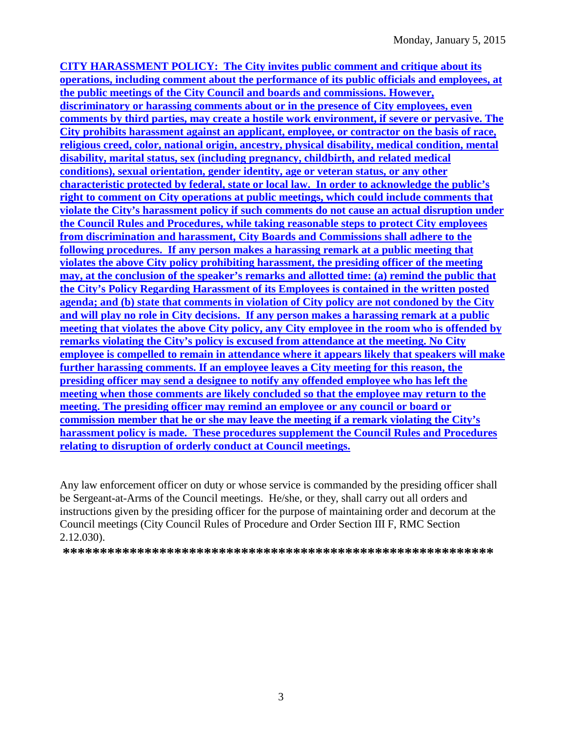**CITY HARASSMENT POLICY: The City invites public comment and critique about its operations, including comment about the performance of its public officials and employees, at the public meetings of the City Council and boards and commissions. However, discriminatory or harassing comments about or in the presence of City employees, even comments by third parties, may create a hostile work environment, if severe or pervasive. The City prohibits harassment against an applicant, employee, or contractor on the basis of race, religious creed, color, national origin, ancestry, physical disability, medical condition, mental disability, marital status, sex (including pregnancy, childbirth, and related medical conditions), sexual orientation, gender identity, age or veteran status, or any other characteristic protected by federal, state or local law. In order to acknowledge the public's right to comment on City operations at public meetings, which could include comments that violate the City's harassment policy if such comments do not cause an actual disruption under the Council Rules and Procedures, while taking reasonable steps to protect City employees from discrimination and harassment, City Boards and Commissions shall adhere to the following procedures. If any person makes a harassing remark at a public meeting that violates the above City policy prohibiting harassment, the presiding officer of the meeting may, at the conclusion of the speaker's remarks and allotted time: (a) remind the public that the City's Policy Regarding Harassment of its Employees is contained in the written posted agenda; and (b) state that comments in violation of City policy are not condoned by the City and will play no role in City decisions. If any person makes a harassing remark at a public meeting that violates the above City policy, any City employee in the room who is offended by remarks violating the City's policy is excused from attendance at the meeting. No City employee is compelled to remain in attendance where it appears likely that speakers will make further harassing comments. If an employee leaves a City meeting for this reason, the presiding officer may send a designee to notify any offended employee who has left the meeting when those comments are likely concluded so that the employee may return to the meeting. The presiding officer may remind an employee or any council or board or commission member that he or she may leave the meeting if a remark violating the City's harassment policy is made. These procedures supplement the Council Rules and Procedures relating to disruption of orderly conduct at Council meetings.**

Any law enforcement officer on duty or whose service is commanded by the presiding officer shall be Sergeant-at-Arms of the Council meetings. He/she, or they, shall carry out all orders and instructions given by the presiding officer for the purpose of maintaining order and decorum at the Council meetings (City Council Rules of Procedure and Order Section III F, RMC Section 2.12.030).

**\*\*\*\*\*\*\*\*\*\*\*\*\*\*\*\*\*\*\*\*\*\*\*\*\*\*\*\*\*\*\*\*\*\*\*\*\*\*\*\*\*\*\*\*\*\*\*\*\*\*\*\*\*\*\*\*\*\***